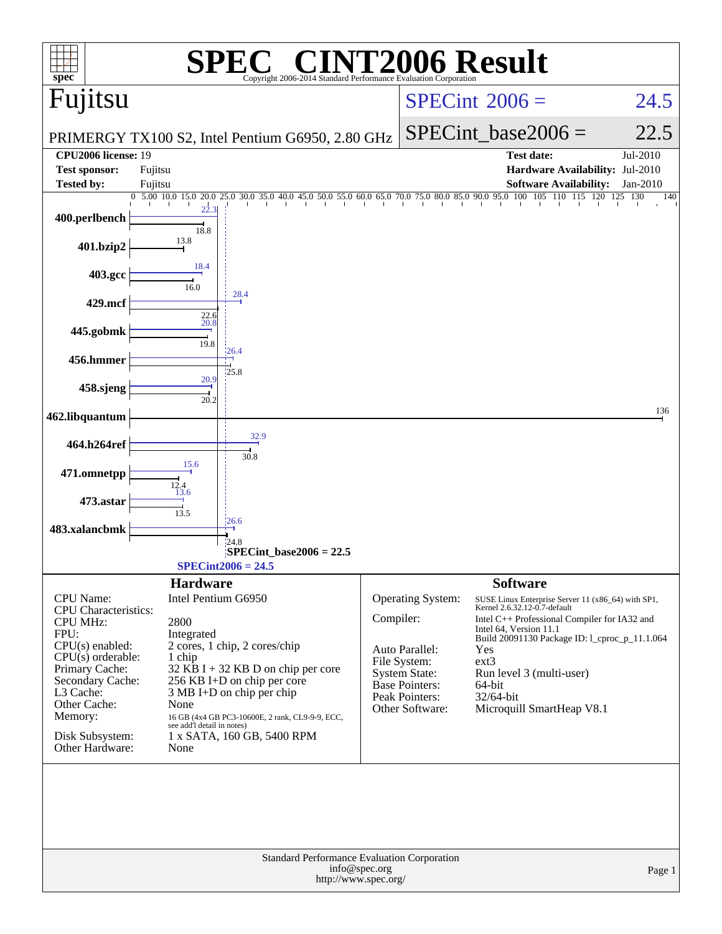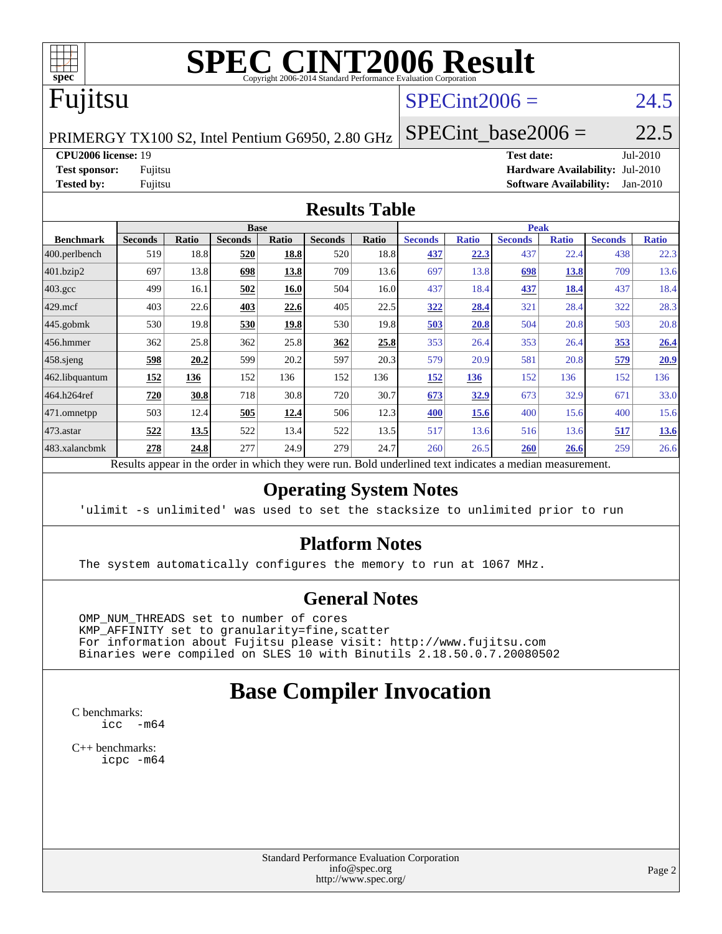

## Fujitsu

#### $SPECint2006 = 24.5$  $SPECint2006 = 24.5$

PRIMERGY TX100 S2, Intel Pentium G6950, 2.80 GHz

**[CPU2006 license:](http://www.spec.org/auto/cpu2006/Docs/result-fields.html#CPU2006license)** 19 **[Test date:](http://www.spec.org/auto/cpu2006/Docs/result-fields.html#Testdate)** Jul-2010 **[Test sponsor:](http://www.spec.org/auto/cpu2006/Docs/result-fields.html#Testsponsor)** Fujitsu **[Hardware Availability:](http://www.spec.org/auto/cpu2006/Docs/result-fields.html#HardwareAvailability)** Jul-2010 **[Tested by:](http://www.spec.org/auto/cpu2006/Docs/result-fields.html#Testedby)** Fujitsu **[Software Availability:](http://www.spec.org/auto/cpu2006/Docs/result-fields.html#SoftwareAvailability)** Jan-2010

SPECint base2006 =  $22.5$ 

#### **[Results Table](http://www.spec.org/auto/cpu2006/Docs/result-fields.html#ResultsTable)**

| <b>Base</b>    |       |                |             |                | <b>Peak</b> |                |              |                |                                                                                                                             |                |              |
|----------------|-------|----------------|-------------|----------------|-------------|----------------|--------------|----------------|-----------------------------------------------------------------------------------------------------------------------------|----------------|--------------|
| <b>Seconds</b> | Ratio | <b>Seconds</b> | Ratio       | <b>Seconds</b> | Ratio       | <b>Seconds</b> | <b>Ratio</b> | <b>Seconds</b> | <b>Ratio</b>                                                                                                                | <b>Seconds</b> | <b>Ratio</b> |
| 519            | 18.8  | 520            | 18.8        | 520            | 18.8        | 437            | 22.3         | 437            | 22.4                                                                                                                        | 438            | 22.3         |
| 697            | 13.8  | 698            | 13.8        | 709            | 13.6        | 697            | 13.8         | 698            | 13.8                                                                                                                        | 709            | 13.6         |
| 499            | 16.1  | 502            | 16.0        | 504            | 16.0        | 437            | 18.4         | 437            | 18.4                                                                                                                        | 437            | 18.4         |
| 403            | 22.6  | 403            | 22.6        | 405            | 22.5        | 322            | 28.4         | 321            | 28.4                                                                                                                        | 322            | 28.3         |
| 530            | 19.8  | 530            | <u>19.8</u> | 530            | 19.8        | 503            | 20.8         | 504            | 20.8                                                                                                                        | 503            | 20.8         |
| 362            | 25.8  | 362            | 25.8        | 362            | 25.8        | 353            | 26.4         | 353            | 26.4                                                                                                                        | 353            | 26.4         |
| 598            | 20.2  | 599            | 20.2        | 597            | 20.3        | 579            | 20.9         | 581            | 20.8                                                                                                                        | 579            | 20.9         |
| 152            | 136   | 152            | 136         | 152            | 136         | 152            | 136          | 152            | 136                                                                                                                         | 152            | 136          |
| 720            | 30.8  | 718            | 30.8        | 720            | 30.7        | 673            | 32.9         | 673            | 32.9                                                                                                                        | 671            | 33.0         |
| 503            | 12.4  | 505            | 12.4        | 506            | 12.3        | 400            | 15.6         | 400            | 15.6                                                                                                                        | 400            | 15.6         |
| 522            | 13.5  | 522            | 13.4        | 522            | 13.5        | 517            |              | 516            | 13.6                                                                                                                        | 517            | 13.6         |
| 278            | 24.8  | 277            | 24.9        | 279            | 24.7        | 260            | 26.5         | 260            | 26.6                                                                                                                        | 259            | 26.6         |
|                |       |                |             |                |             |                |              |                | 13.6<br>Described and can be the condentry ordered theory occurs more<br>That do constructions distant for disasters a sec- | $-11 - 1$      |              |

Results appear in the [order in which they were run.](http://www.spec.org/auto/cpu2006/Docs/result-fields.html#RunOrder) Bold underlined text [indicates a median measurement.](http://www.spec.org/auto/cpu2006/Docs/result-fields.html#Median)

#### **[Operating System Notes](http://www.spec.org/auto/cpu2006/Docs/result-fields.html#OperatingSystemNotes)**

'ulimit -s unlimited' was used to set the stacksize to unlimited prior to run

#### **[Platform Notes](http://www.spec.org/auto/cpu2006/Docs/result-fields.html#PlatformNotes)**

The system automatically configures the memory to run at 1067 MHz.

#### **[General Notes](http://www.spec.org/auto/cpu2006/Docs/result-fields.html#GeneralNotes)**

 OMP\_NUM\_THREADS set to number of cores KMP\_AFFINITY set to granularity=fine,scatter For information about Fujitsu please visit: <http://www.fujitsu.com> Binaries were compiled on SLES 10 with Binutils 2.18.50.0.7.20080502

### **[Base Compiler Invocation](http://www.spec.org/auto/cpu2006/Docs/result-fields.html#BaseCompilerInvocation)**

[C benchmarks](http://www.spec.org/auto/cpu2006/Docs/result-fields.html#Cbenchmarks): [icc -m64](http://www.spec.org/cpu2006/results/res2010q3/cpu2006-20100812-12850.flags.html#user_CCbase_intel_icc_64bit_f346026e86af2a669e726fe758c88044)

[C++ benchmarks:](http://www.spec.org/auto/cpu2006/Docs/result-fields.html#CXXbenchmarks) [icpc -m64](http://www.spec.org/cpu2006/results/res2010q3/cpu2006-20100812-12850.flags.html#user_CXXbase_intel_icpc_64bit_fc66a5337ce925472a5c54ad6a0de310)

> Standard Performance Evaluation Corporation [info@spec.org](mailto:info@spec.org) <http://www.spec.org/>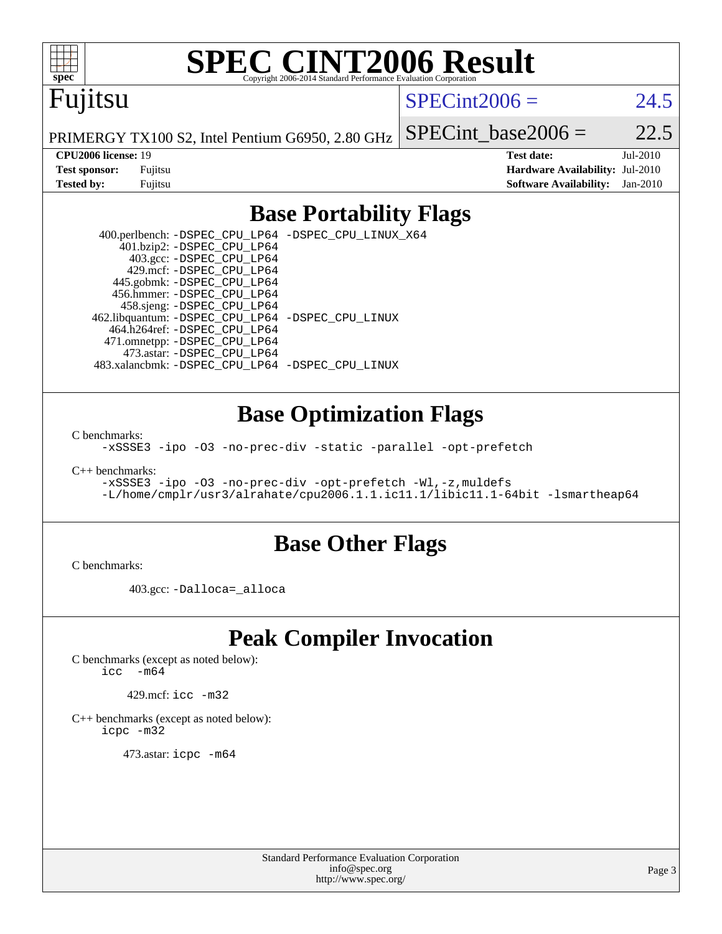

### Fujitsu

#### $SPECint2006 = 24.5$  $SPECint2006 = 24.5$

PRIMERGY TX100 S2, Intel Pentium G6950, 2.80 GHz

SPECint base2006 =  $22.5$ 

**[CPU2006 license:](http://www.spec.org/auto/cpu2006/Docs/result-fields.html#CPU2006license)** 19 **[Test date:](http://www.spec.org/auto/cpu2006/Docs/result-fields.html#Testdate)** Jul-2010 **[Test sponsor:](http://www.spec.org/auto/cpu2006/Docs/result-fields.html#Testsponsor)** Fujitsu **[Hardware Availability:](http://www.spec.org/auto/cpu2006/Docs/result-fields.html#HardwareAvailability)** Jul-2010 **[Tested by:](http://www.spec.org/auto/cpu2006/Docs/result-fields.html#Testedby)** Fujitsu **[Software Availability:](http://www.spec.org/auto/cpu2006/Docs/result-fields.html#SoftwareAvailability)** Jan-2010

#### **[Base Portability Flags](http://www.spec.org/auto/cpu2006/Docs/result-fields.html#BasePortabilityFlags)**

 400.perlbench: [-DSPEC\\_CPU\\_LP64](http://www.spec.org/cpu2006/results/res2010q3/cpu2006-20100812-12850.flags.html#b400.perlbench_basePORTABILITY_DSPEC_CPU_LP64) [-DSPEC\\_CPU\\_LINUX\\_X64](http://www.spec.org/cpu2006/results/res2010q3/cpu2006-20100812-12850.flags.html#b400.perlbench_baseCPORTABILITY_DSPEC_CPU_LINUX_X64) 401.bzip2: [-DSPEC\\_CPU\\_LP64](http://www.spec.org/cpu2006/results/res2010q3/cpu2006-20100812-12850.flags.html#suite_basePORTABILITY401_bzip2_DSPEC_CPU_LP64) 403.gcc: [-DSPEC\\_CPU\\_LP64](http://www.spec.org/cpu2006/results/res2010q3/cpu2006-20100812-12850.flags.html#suite_basePORTABILITY403_gcc_DSPEC_CPU_LP64) 429.mcf: [-DSPEC\\_CPU\\_LP64](http://www.spec.org/cpu2006/results/res2010q3/cpu2006-20100812-12850.flags.html#suite_basePORTABILITY429_mcf_DSPEC_CPU_LP64) 445.gobmk: [-DSPEC\\_CPU\\_LP64](http://www.spec.org/cpu2006/results/res2010q3/cpu2006-20100812-12850.flags.html#suite_basePORTABILITY445_gobmk_DSPEC_CPU_LP64) 456.hmmer: [-DSPEC\\_CPU\\_LP64](http://www.spec.org/cpu2006/results/res2010q3/cpu2006-20100812-12850.flags.html#suite_basePORTABILITY456_hmmer_DSPEC_CPU_LP64) 458.sjeng: [-DSPEC\\_CPU\\_LP64](http://www.spec.org/cpu2006/results/res2010q3/cpu2006-20100812-12850.flags.html#suite_basePORTABILITY458_sjeng_DSPEC_CPU_LP64) 462.libquantum: [-DSPEC\\_CPU\\_LP64](http://www.spec.org/cpu2006/results/res2010q3/cpu2006-20100812-12850.flags.html#suite_basePORTABILITY462_libquantum_DSPEC_CPU_LP64) [-DSPEC\\_CPU\\_LINUX](http://www.spec.org/cpu2006/results/res2010q3/cpu2006-20100812-12850.flags.html#b462.libquantum_baseCPORTABILITY_DSPEC_CPU_LINUX) 464.h264ref: [-DSPEC\\_CPU\\_LP64](http://www.spec.org/cpu2006/results/res2010q3/cpu2006-20100812-12850.flags.html#suite_basePORTABILITY464_h264ref_DSPEC_CPU_LP64) 471.omnetpp: [-DSPEC\\_CPU\\_LP64](http://www.spec.org/cpu2006/results/res2010q3/cpu2006-20100812-12850.flags.html#suite_basePORTABILITY471_omnetpp_DSPEC_CPU_LP64) 473.astar: [-DSPEC\\_CPU\\_LP64](http://www.spec.org/cpu2006/results/res2010q3/cpu2006-20100812-12850.flags.html#suite_basePORTABILITY473_astar_DSPEC_CPU_LP64) 483.xalancbmk: [-DSPEC\\_CPU\\_LP64](http://www.spec.org/cpu2006/results/res2010q3/cpu2006-20100812-12850.flags.html#suite_basePORTABILITY483_xalancbmk_DSPEC_CPU_LP64) [-DSPEC\\_CPU\\_LINUX](http://www.spec.org/cpu2006/results/res2010q3/cpu2006-20100812-12850.flags.html#b483.xalancbmk_baseCXXPORTABILITY_DSPEC_CPU_LINUX)

#### **[Base Optimization Flags](http://www.spec.org/auto/cpu2006/Docs/result-fields.html#BaseOptimizationFlags)**

[C benchmarks](http://www.spec.org/auto/cpu2006/Docs/result-fields.html#Cbenchmarks):

[-xSSSE3](http://www.spec.org/cpu2006/results/res2010q3/cpu2006-20100812-12850.flags.html#user_CCbase_f-xSSSE3) [-ipo](http://www.spec.org/cpu2006/results/res2010q3/cpu2006-20100812-12850.flags.html#user_CCbase_f-ipo) [-O3](http://www.spec.org/cpu2006/results/res2010q3/cpu2006-20100812-12850.flags.html#user_CCbase_f-O3) [-no-prec-div](http://www.spec.org/cpu2006/results/res2010q3/cpu2006-20100812-12850.flags.html#user_CCbase_f-no-prec-div) [-static](http://www.spec.org/cpu2006/results/res2010q3/cpu2006-20100812-12850.flags.html#user_CCbase_f-static) [-parallel](http://www.spec.org/cpu2006/results/res2010q3/cpu2006-20100812-12850.flags.html#user_CCbase_f-parallel) [-opt-prefetch](http://www.spec.org/cpu2006/results/res2010q3/cpu2006-20100812-12850.flags.html#user_CCbase_f-opt-prefetch)

[C++ benchmarks:](http://www.spec.org/auto/cpu2006/Docs/result-fields.html#CXXbenchmarks)

```
-xSSSE3 -ipo -O3 -no-prec-div -opt-prefetch -Wl,-z,muldefs
-L/home/cmplr/usr3/alrahate/cpu2006.1.1.ic11.1/libic11.1-64bit -lsmartheap64
```
#### **[Base Other Flags](http://www.spec.org/auto/cpu2006/Docs/result-fields.html#BaseOtherFlags)**

[C benchmarks](http://www.spec.org/auto/cpu2006/Docs/result-fields.html#Cbenchmarks):

403.gcc: [-Dalloca=\\_alloca](http://www.spec.org/cpu2006/results/res2010q3/cpu2006-20100812-12850.flags.html#b403.gcc_baseEXTRA_CFLAGS_Dalloca_be3056838c12de2578596ca5467af7f3)

#### **[Peak Compiler Invocation](http://www.spec.org/auto/cpu2006/Docs/result-fields.html#PeakCompilerInvocation)**

[C benchmarks \(except as noted below\)](http://www.spec.org/auto/cpu2006/Docs/result-fields.html#Cbenchmarksexceptasnotedbelow):  $\text{icc}$   $-\text{m64}$ 

429.mcf: [icc -m32](http://www.spec.org/cpu2006/results/res2010q3/cpu2006-20100812-12850.flags.html#user_peakCCLD429_mcf_intel_icc_32bit_a6a621f8d50482236b970c6ac5f55f93)

[C++ benchmarks \(except as noted below\):](http://www.spec.org/auto/cpu2006/Docs/result-fields.html#CXXbenchmarksexceptasnotedbelow) [icpc -m32](http://www.spec.org/cpu2006/results/res2010q3/cpu2006-20100812-12850.flags.html#user_CXXpeak_intel_icpc_32bit_4e5a5ef1a53fd332b3c49e69c3330699)

473.astar: [icpc -m64](http://www.spec.org/cpu2006/results/res2010q3/cpu2006-20100812-12850.flags.html#user_peakCXXLD473_astar_intel_icpc_64bit_fc66a5337ce925472a5c54ad6a0de310)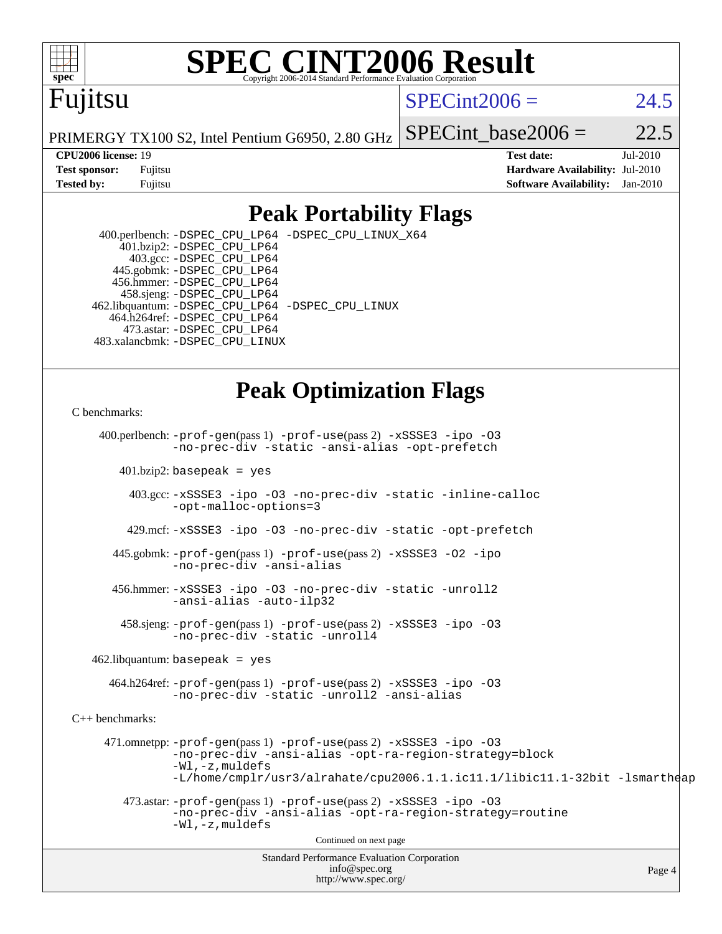

### Fujitsu

#### $SPECint2006 = 24.5$  $SPECint2006 = 24.5$

PRIMERGY TX100 S2, Intel Pentium G6950, 2.80 GHz

SPECint base2006 =  $22.5$ 

**[CPU2006 license:](http://www.spec.org/auto/cpu2006/Docs/result-fields.html#CPU2006license)** 19 **[Test date:](http://www.spec.org/auto/cpu2006/Docs/result-fields.html#Testdate)** Jul-2010 **[Test sponsor:](http://www.spec.org/auto/cpu2006/Docs/result-fields.html#Testsponsor)** Fujitsu **[Hardware Availability:](http://www.spec.org/auto/cpu2006/Docs/result-fields.html#HardwareAvailability)** Jul-2010 **[Tested by:](http://www.spec.org/auto/cpu2006/Docs/result-fields.html#Testedby)** Fujitsu **[Software Availability:](http://www.spec.org/auto/cpu2006/Docs/result-fields.html#SoftwareAvailability)** Jan-2010

#### **[Peak Portability Flags](http://www.spec.org/auto/cpu2006/Docs/result-fields.html#PeakPortabilityFlags)**

 400.perlbench: [-DSPEC\\_CPU\\_LP64](http://www.spec.org/cpu2006/results/res2010q3/cpu2006-20100812-12850.flags.html#b400.perlbench_peakPORTABILITY_DSPEC_CPU_LP64) [-DSPEC\\_CPU\\_LINUX\\_X64](http://www.spec.org/cpu2006/results/res2010q3/cpu2006-20100812-12850.flags.html#b400.perlbench_peakCPORTABILITY_DSPEC_CPU_LINUX_X64) 401.bzip2: [-DSPEC\\_CPU\\_LP64](http://www.spec.org/cpu2006/results/res2010q3/cpu2006-20100812-12850.flags.html#suite_peakPORTABILITY401_bzip2_DSPEC_CPU_LP64) 403.gcc: [-DSPEC\\_CPU\\_LP64](http://www.spec.org/cpu2006/results/res2010q3/cpu2006-20100812-12850.flags.html#suite_peakPORTABILITY403_gcc_DSPEC_CPU_LP64) 445.gobmk: [-DSPEC\\_CPU\\_LP64](http://www.spec.org/cpu2006/results/res2010q3/cpu2006-20100812-12850.flags.html#suite_peakPORTABILITY445_gobmk_DSPEC_CPU_LP64) 456.hmmer: [-DSPEC\\_CPU\\_LP64](http://www.spec.org/cpu2006/results/res2010q3/cpu2006-20100812-12850.flags.html#suite_peakPORTABILITY456_hmmer_DSPEC_CPU_LP64) 458.sjeng: [-DSPEC\\_CPU\\_LP64](http://www.spec.org/cpu2006/results/res2010q3/cpu2006-20100812-12850.flags.html#suite_peakPORTABILITY458_sjeng_DSPEC_CPU_LP64) 462.libquantum: [-DSPEC\\_CPU\\_LP64](http://www.spec.org/cpu2006/results/res2010q3/cpu2006-20100812-12850.flags.html#suite_peakPORTABILITY462_libquantum_DSPEC_CPU_LP64) [-DSPEC\\_CPU\\_LINUX](http://www.spec.org/cpu2006/results/res2010q3/cpu2006-20100812-12850.flags.html#b462.libquantum_peakCPORTABILITY_DSPEC_CPU_LINUX) 464.h264ref: [-DSPEC\\_CPU\\_LP64](http://www.spec.org/cpu2006/results/res2010q3/cpu2006-20100812-12850.flags.html#suite_peakPORTABILITY464_h264ref_DSPEC_CPU_LP64) 473.astar: [-DSPEC\\_CPU\\_LP64](http://www.spec.org/cpu2006/results/res2010q3/cpu2006-20100812-12850.flags.html#suite_peakPORTABILITY473_astar_DSPEC_CPU_LP64) 483.xalancbmk: [-DSPEC\\_CPU\\_LINUX](http://www.spec.org/cpu2006/results/res2010q3/cpu2006-20100812-12850.flags.html#b483.xalancbmk_peakCXXPORTABILITY_DSPEC_CPU_LINUX)

#### **[Peak Optimization Flags](http://www.spec.org/auto/cpu2006/Docs/result-fields.html#PeakOptimizationFlags)**

#### [C benchmarks](http://www.spec.org/auto/cpu2006/Docs/result-fields.html#Cbenchmarks):

Standard Performance Evaluation Corporation [info@spec.org](mailto:info@spec.org) 400.perlbench: [-prof-gen](http://www.spec.org/cpu2006/results/res2010q3/cpu2006-20100812-12850.flags.html#user_peakPASS1_CFLAGSPASS1_LDFLAGS400_perlbench_prof_gen_e43856698f6ca7b7e442dfd80e94a8fc)(pass 1) [-prof-use](http://www.spec.org/cpu2006/results/res2010q3/cpu2006-20100812-12850.flags.html#user_peakPASS2_CFLAGSPASS2_LDFLAGS400_perlbench_prof_use_bccf7792157ff70d64e32fe3e1250b55)(pass 2) [-xSSSE3](http://www.spec.org/cpu2006/results/res2010q3/cpu2006-20100812-12850.flags.html#user_peakCOPTIMIZE400_perlbench_f-xSSSE3) [-ipo](http://www.spec.org/cpu2006/results/res2010q3/cpu2006-20100812-12850.flags.html#user_peakCOPTIMIZE400_perlbench_f-ipo) [-O3](http://www.spec.org/cpu2006/results/res2010q3/cpu2006-20100812-12850.flags.html#user_peakCOPTIMIZE400_perlbench_f-O3) [-no-prec-div](http://www.spec.org/cpu2006/results/res2010q3/cpu2006-20100812-12850.flags.html#user_peakCOPTIMIZE400_perlbench_f-no-prec-div) [-static](http://www.spec.org/cpu2006/results/res2010q3/cpu2006-20100812-12850.flags.html#user_peakCOPTIMIZE400_perlbench_f-static) [-ansi-alias](http://www.spec.org/cpu2006/results/res2010q3/cpu2006-20100812-12850.flags.html#user_peakCOPTIMIZE400_perlbench_f-ansi-alias) [-opt-prefetch](http://www.spec.org/cpu2006/results/res2010q3/cpu2006-20100812-12850.flags.html#user_peakCOPTIMIZE400_perlbench_f-opt-prefetch)  $401.bzip2$ : basepeak = yes 403.gcc: [-xSSSE3](http://www.spec.org/cpu2006/results/res2010q3/cpu2006-20100812-12850.flags.html#user_peakCOPTIMIZE403_gcc_f-xSSSE3) [-ipo](http://www.spec.org/cpu2006/results/res2010q3/cpu2006-20100812-12850.flags.html#user_peakCOPTIMIZE403_gcc_f-ipo) [-O3](http://www.spec.org/cpu2006/results/res2010q3/cpu2006-20100812-12850.flags.html#user_peakCOPTIMIZE403_gcc_f-O3) [-no-prec-div](http://www.spec.org/cpu2006/results/res2010q3/cpu2006-20100812-12850.flags.html#user_peakCOPTIMIZE403_gcc_f-no-prec-div) [-static](http://www.spec.org/cpu2006/results/res2010q3/cpu2006-20100812-12850.flags.html#user_peakCOPTIMIZE403_gcc_f-static) [-inline-calloc](http://www.spec.org/cpu2006/results/res2010q3/cpu2006-20100812-12850.flags.html#user_peakCOPTIMIZE403_gcc_f-inline-calloc) [-opt-malloc-options=3](http://www.spec.org/cpu2006/results/res2010q3/cpu2006-20100812-12850.flags.html#user_peakCOPTIMIZE403_gcc_f-opt-malloc-options_13ab9b803cf986b4ee62f0a5998c2238) 429.mcf: [-xSSSE3](http://www.spec.org/cpu2006/results/res2010q3/cpu2006-20100812-12850.flags.html#user_peakCOPTIMIZE429_mcf_f-xSSSE3) [-ipo](http://www.spec.org/cpu2006/results/res2010q3/cpu2006-20100812-12850.flags.html#user_peakCOPTIMIZE429_mcf_f-ipo) [-O3](http://www.spec.org/cpu2006/results/res2010q3/cpu2006-20100812-12850.flags.html#user_peakCOPTIMIZE429_mcf_f-O3) [-no-prec-div](http://www.spec.org/cpu2006/results/res2010q3/cpu2006-20100812-12850.flags.html#user_peakCOPTIMIZE429_mcf_f-no-prec-div) [-static](http://www.spec.org/cpu2006/results/res2010q3/cpu2006-20100812-12850.flags.html#user_peakCOPTIMIZE429_mcf_f-static) [-opt-prefetch](http://www.spec.org/cpu2006/results/res2010q3/cpu2006-20100812-12850.flags.html#user_peakCOPTIMIZE429_mcf_f-opt-prefetch) 445.gobmk: [-prof-gen](http://www.spec.org/cpu2006/results/res2010q3/cpu2006-20100812-12850.flags.html#user_peakPASS1_CFLAGSPASS1_LDFLAGS445_gobmk_prof_gen_e43856698f6ca7b7e442dfd80e94a8fc)(pass 1) [-prof-use](http://www.spec.org/cpu2006/results/res2010q3/cpu2006-20100812-12850.flags.html#user_peakPASS2_CFLAGSPASS2_LDFLAGS445_gobmk_prof_use_bccf7792157ff70d64e32fe3e1250b55)(pass 2) [-xSSSE3](http://www.spec.org/cpu2006/results/res2010q3/cpu2006-20100812-12850.flags.html#user_peakCOPTIMIZE445_gobmk_f-xSSSE3) [-O2](http://www.spec.org/cpu2006/results/res2010q3/cpu2006-20100812-12850.flags.html#user_peakCOPTIMIZE445_gobmk_f-O2) [-ipo](http://www.spec.org/cpu2006/results/res2010q3/cpu2006-20100812-12850.flags.html#user_peakCOPTIMIZE445_gobmk_f-ipo) [-no-prec-div](http://www.spec.org/cpu2006/results/res2010q3/cpu2006-20100812-12850.flags.html#user_peakCOPTIMIZE445_gobmk_f-no-prec-div) [-ansi-alias](http://www.spec.org/cpu2006/results/res2010q3/cpu2006-20100812-12850.flags.html#user_peakCOPTIMIZE445_gobmk_f-ansi-alias) 456.hmmer: [-xSSSE3](http://www.spec.org/cpu2006/results/res2010q3/cpu2006-20100812-12850.flags.html#user_peakCOPTIMIZE456_hmmer_f-xSSSE3) [-ipo](http://www.spec.org/cpu2006/results/res2010q3/cpu2006-20100812-12850.flags.html#user_peakCOPTIMIZE456_hmmer_f-ipo) [-O3](http://www.spec.org/cpu2006/results/res2010q3/cpu2006-20100812-12850.flags.html#user_peakCOPTIMIZE456_hmmer_f-O3) [-no-prec-div](http://www.spec.org/cpu2006/results/res2010q3/cpu2006-20100812-12850.flags.html#user_peakCOPTIMIZE456_hmmer_f-no-prec-div) [-static](http://www.spec.org/cpu2006/results/res2010q3/cpu2006-20100812-12850.flags.html#user_peakCOPTIMIZE456_hmmer_f-static) [-unroll2](http://www.spec.org/cpu2006/results/res2010q3/cpu2006-20100812-12850.flags.html#user_peakCOPTIMIZE456_hmmer_f-unroll_784dae83bebfb236979b41d2422d7ec2) [-ansi-alias](http://www.spec.org/cpu2006/results/res2010q3/cpu2006-20100812-12850.flags.html#user_peakCOPTIMIZE456_hmmer_f-ansi-alias) [-auto-ilp32](http://www.spec.org/cpu2006/results/res2010q3/cpu2006-20100812-12850.flags.html#user_peakCOPTIMIZE456_hmmer_f-auto-ilp32) 458.sjeng: [-prof-gen](http://www.spec.org/cpu2006/results/res2010q3/cpu2006-20100812-12850.flags.html#user_peakPASS1_CFLAGSPASS1_LDFLAGS458_sjeng_prof_gen_e43856698f6ca7b7e442dfd80e94a8fc)(pass 1) [-prof-use](http://www.spec.org/cpu2006/results/res2010q3/cpu2006-20100812-12850.flags.html#user_peakPASS2_CFLAGSPASS2_LDFLAGS458_sjeng_prof_use_bccf7792157ff70d64e32fe3e1250b55)(pass 2) [-xSSSE3](http://www.spec.org/cpu2006/results/res2010q3/cpu2006-20100812-12850.flags.html#user_peakCOPTIMIZE458_sjeng_f-xSSSE3) [-ipo](http://www.spec.org/cpu2006/results/res2010q3/cpu2006-20100812-12850.flags.html#user_peakCOPTIMIZE458_sjeng_f-ipo) [-O3](http://www.spec.org/cpu2006/results/res2010q3/cpu2006-20100812-12850.flags.html#user_peakCOPTIMIZE458_sjeng_f-O3) [-no-prec-div](http://www.spec.org/cpu2006/results/res2010q3/cpu2006-20100812-12850.flags.html#user_peakCOPTIMIZE458_sjeng_f-no-prec-div) [-static](http://www.spec.org/cpu2006/results/res2010q3/cpu2006-20100812-12850.flags.html#user_peakCOPTIMIZE458_sjeng_f-static) [-unroll4](http://www.spec.org/cpu2006/results/res2010q3/cpu2006-20100812-12850.flags.html#user_peakCOPTIMIZE458_sjeng_f-unroll_4e5e4ed65b7fd20bdcd365bec371b81f)  $462$ .libquantum: basepeak = yes 464.h264ref: [-prof-gen](http://www.spec.org/cpu2006/results/res2010q3/cpu2006-20100812-12850.flags.html#user_peakPASS1_CFLAGSPASS1_LDFLAGS464_h264ref_prof_gen_e43856698f6ca7b7e442dfd80e94a8fc)(pass 1) [-prof-use](http://www.spec.org/cpu2006/results/res2010q3/cpu2006-20100812-12850.flags.html#user_peakPASS2_CFLAGSPASS2_LDFLAGS464_h264ref_prof_use_bccf7792157ff70d64e32fe3e1250b55)(pass 2) [-xSSSE3](http://www.spec.org/cpu2006/results/res2010q3/cpu2006-20100812-12850.flags.html#user_peakCOPTIMIZE464_h264ref_f-xSSSE3) [-ipo](http://www.spec.org/cpu2006/results/res2010q3/cpu2006-20100812-12850.flags.html#user_peakCOPTIMIZE464_h264ref_f-ipo) [-O3](http://www.spec.org/cpu2006/results/res2010q3/cpu2006-20100812-12850.flags.html#user_peakCOPTIMIZE464_h264ref_f-O3) [-no-prec-div](http://www.spec.org/cpu2006/results/res2010q3/cpu2006-20100812-12850.flags.html#user_peakCOPTIMIZE464_h264ref_f-no-prec-div) [-static](http://www.spec.org/cpu2006/results/res2010q3/cpu2006-20100812-12850.flags.html#user_peakCOPTIMIZE464_h264ref_f-static) [-unroll2](http://www.spec.org/cpu2006/results/res2010q3/cpu2006-20100812-12850.flags.html#user_peakCOPTIMIZE464_h264ref_f-unroll_784dae83bebfb236979b41d2422d7ec2) [-ansi-alias](http://www.spec.org/cpu2006/results/res2010q3/cpu2006-20100812-12850.flags.html#user_peakCOPTIMIZE464_h264ref_f-ansi-alias) [C++ benchmarks:](http://www.spec.org/auto/cpu2006/Docs/result-fields.html#CXXbenchmarks) 471.omnetpp: [-prof-gen](http://www.spec.org/cpu2006/results/res2010q3/cpu2006-20100812-12850.flags.html#user_peakPASS1_CXXFLAGSPASS1_LDFLAGS471_omnetpp_prof_gen_e43856698f6ca7b7e442dfd80e94a8fc)(pass 1) [-prof-use](http://www.spec.org/cpu2006/results/res2010q3/cpu2006-20100812-12850.flags.html#user_peakPASS2_CXXFLAGSPASS2_LDFLAGS471_omnetpp_prof_use_bccf7792157ff70d64e32fe3e1250b55)(pass 2) [-xSSSE3](http://www.spec.org/cpu2006/results/res2010q3/cpu2006-20100812-12850.flags.html#user_peakCXXOPTIMIZE471_omnetpp_f-xSSSE3) [-ipo](http://www.spec.org/cpu2006/results/res2010q3/cpu2006-20100812-12850.flags.html#user_peakCXXOPTIMIZE471_omnetpp_f-ipo) [-O3](http://www.spec.org/cpu2006/results/res2010q3/cpu2006-20100812-12850.flags.html#user_peakCXXOPTIMIZE471_omnetpp_f-O3) [-no-prec-div](http://www.spec.org/cpu2006/results/res2010q3/cpu2006-20100812-12850.flags.html#user_peakCXXOPTIMIZE471_omnetpp_f-no-prec-div) [-ansi-alias](http://www.spec.org/cpu2006/results/res2010q3/cpu2006-20100812-12850.flags.html#user_peakCXXOPTIMIZE471_omnetpp_f-ansi-alias) [-opt-ra-region-strategy=block](http://www.spec.org/cpu2006/results/res2010q3/cpu2006-20100812-12850.flags.html#user_peakCXXOPTIMIZE471_omnetpp_f-opt-ra-region-strategy-block_a0a37c372d03933b2a18d4af463c1f69) [-Wl,-z,muldefs](http://www.spec.org/cpu2006/results/res2010q3/cpu2006-20100812-12850.flags.html#user_peakEXTRA_LDFLAGS471_omnetpp_link_force_multiple1_74079c344b956b9658436fd1b6dd3a8a) [-L/home/cmplr/usr3/alrahate/cpu2006.1.1.ic11.1/libic11.1-32bit -lsmartheap](http://www.spec.org/cpu2006/results/res2010q3/cpu2006-20100812-12850.flags.html#user_peakEXTRA_LIBS471_omnetpp_SmartHeap_d86dffe4a79b79ef8890d5cce17030c3) 473.astar: [-prof-gen](http://www.spec.org/cpu2006/results/res2010q3/cpu2006-20100812-12850.flags.html#user_peakPASS1_CXXFLAGSPASS1_LDFLAGS473_astar_prof_gen_e43856698f6ca7b7e442dfd80e94a8fc)(pass 1) [-prof-use](http://www.spec.org/cpu2006/results/res2010q3/cpu2006-20100812-12850.flags.html#user_peakPASS2_CXXFLAGSPASS2_LDFLAGS473_astar_prof_use_bccf7792157ff70d64e32fe3e1250b55)(pass 2) [-xSSSE3](http://www.spec.org/cpu2006/results/res2010q3/cpu2006-20100812-12850.flags.html#user_peakCXXOPTIMIZE473_astar_f-xSSSE3) [-ipo](http://www.spec.org/cpu2006/results/res2010q3/cpu2006-20100812-12850.flags.html#user_peakCXXOPTIMIZE473_astar_f-ipo) [-O3](http://www.spec.org/cpu2006/results/res2010q3/cpu2006-20100812-12850.flags.html#user_peakCXXOPTIMIZE473_astar_f-O3) [-no-prec-div](http://www.spec.org/cpu2006/results/res2010q3/cpu2006-20100812-12850.flags.html#user_peakCXXOPTIMIZE473_astar_f-no-prec-div) [-ansi-alias](http://www.spec.org/cpu2006/results/res2010q3/cpu2006-20100812-12850.flags.html#user_peakCXXOPTIMIZE473_astar_f-ansi-alias) [-opt-ra-region-strategy=routine](http://www.spec.org/cpu2006/results/res2010q3/cpu2006-20100812-12850.flags.html#user_peakCXXOPTIMIZE473_astar_f-opt-ra-region-strategy-routine_ba086ea3b1d46a52e1238e2ca173ed44) [-Wl,-z,muldefs](http://www.spec.org/cpu2006/results/res2010q3/cpu2006-20100812-12850.flags.html#user_peakEXTRA_LDFLAGS473_astar_link_force_multiple1_74079c344b956b9658436fd1b6dd3a8a) Continued on next page

<http://www.spec.org/>

Page 4